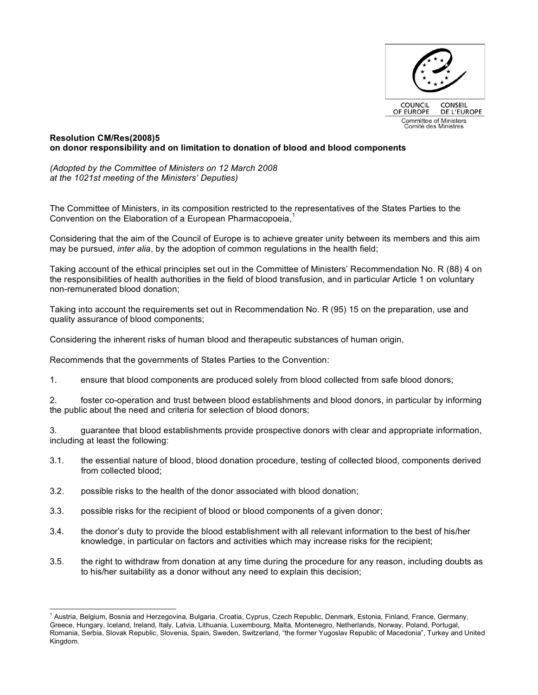

## **Resolution CM/Res(2008)5 on donor responsibility and on limitation to donation of blood and blood components**

*(Adopted by the Committee of Ministers on 12 March 2008 at the 1021st meeting of the Ministers' Deputies)*

The Committee of Ministers, in its composition restricted to the representatives of the States Parties to the Convention on the Elaboration of a European Pharmacopoeia, 1

Considering that the aim of the Council of Europe is to achieve greater unity between its members and this aim may be pursued, *inter alia*, by the adoption of common regulations in the health field;

Taking account of the ethical principles set out in the Committee of Ministers' Recommendation No. R (88) 4 on the responsibilities of health authorities in the field of blood transfusion, and in particular Article 1 on voluntary non-remunerated blood donation;

Taking into account the requirements set out in Recommendation No. R (95) 15 on the preparation, use and quality assurance of blood components;

Considering the inherent risks of human blood and therapeutic substances of human origin,

Recommends that the governments of States Parties to the Convention:

1. ensure that blood components are produced solely from blood collected from safe blood donors;

2. foster co-operation and trust between blood establishments and blood donors, in particular by informing the public about the need and criteria for selection of blood donors;

3. guarantee that blood establishments provide prospective donors with clear and appropriate information, including at least the following:

- 3.1. the essential nature of blood, blood donation procedure, testing of collected blood, components derived from collected blood;
- 3.2. possible risks to the health of the donor associated with blood donation;
- 3.3. possible risks for the recipient of blood or blood components of a given donor;
- 3.4. the donor's duty to provide the blood establishment with all relevant information to the best of his/her knowledge, in particular on factors and activities which may increase risks for the recipient;
- 3.5. the right to withdraw from donation at any time during the procedure for any reason, including doubts as to his/her suitability as a donor without any need to explain this decision;

<sup>&</sup>lt;sup>1</sup> Austria, Belgium, Bosnia and Herzegovina, Bulgaria, Croatia, Cyprus, Czech Republic, Denmark, Estonia, Finland, France, Germany, Greece, Hungary, Iceland, Ireland, Italy, Latvia, Lithuania, Luxembourg, Malta, Montenegro, Netherlands, Norway, Poland, Portugal, Romania, Serbia, Slovak Republic, Slovenia, Spain, Sweden, Switzerland, "the former Yugoslav Republic of Macedonia", Turkey and United Kingdom.